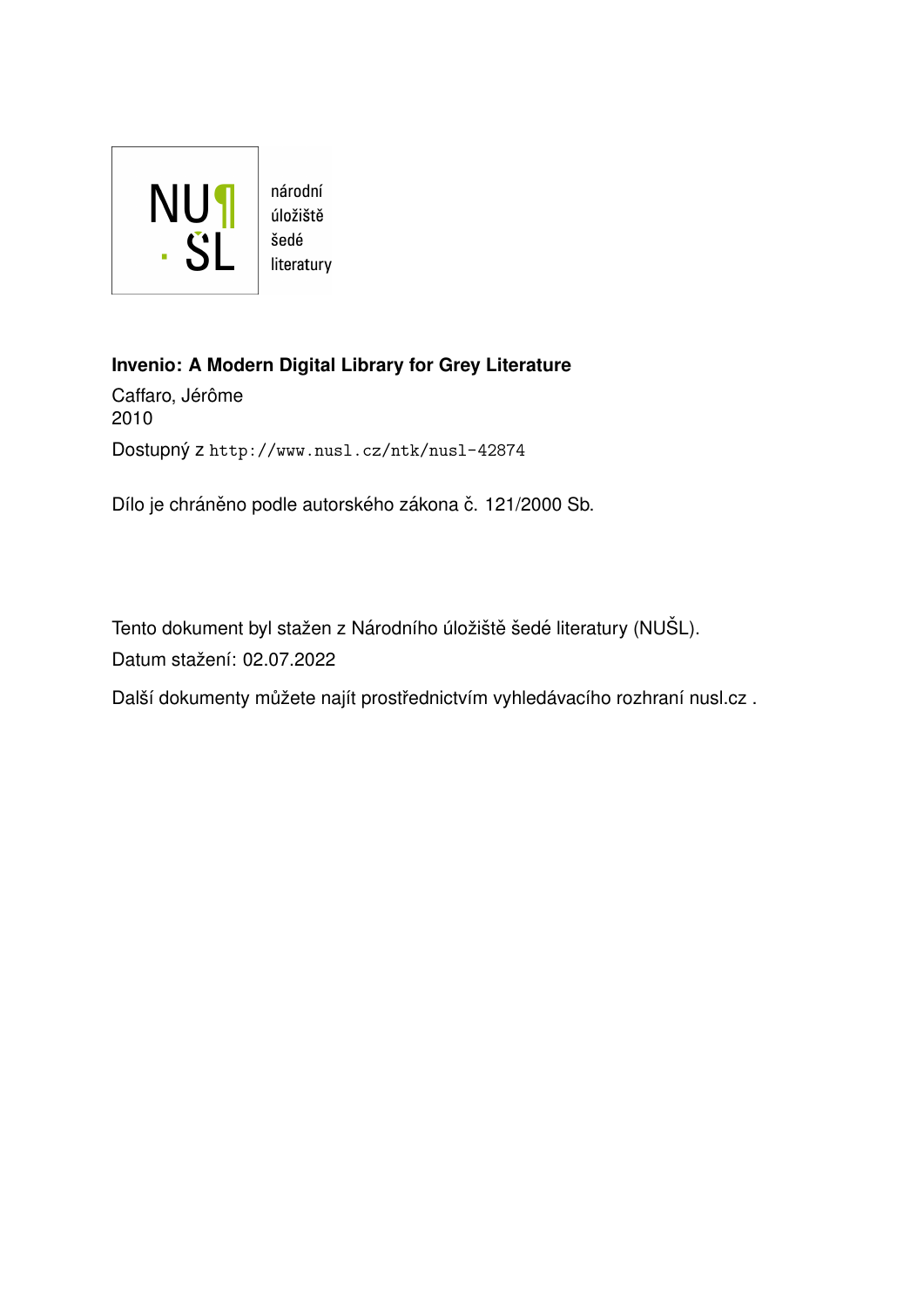

**Invenio: A Modern Digital Library for Grey Literature**

Caffaro, Jérôme 2010 Dostupný z <http://www.nusl.cz/ntk/nusl-42874>

Dílo je chráněno podle autorského zákona č. 121/2000 Sb.

Tento dokument byl stažen z Národního úložiště šedé literatury (NUŠL). Datum stažení: 02.07.2022

Další dokumenty můžete najít prostřednictvím vyhledávacího rozhraní [nusl.cz](http://www.nusl.cz) .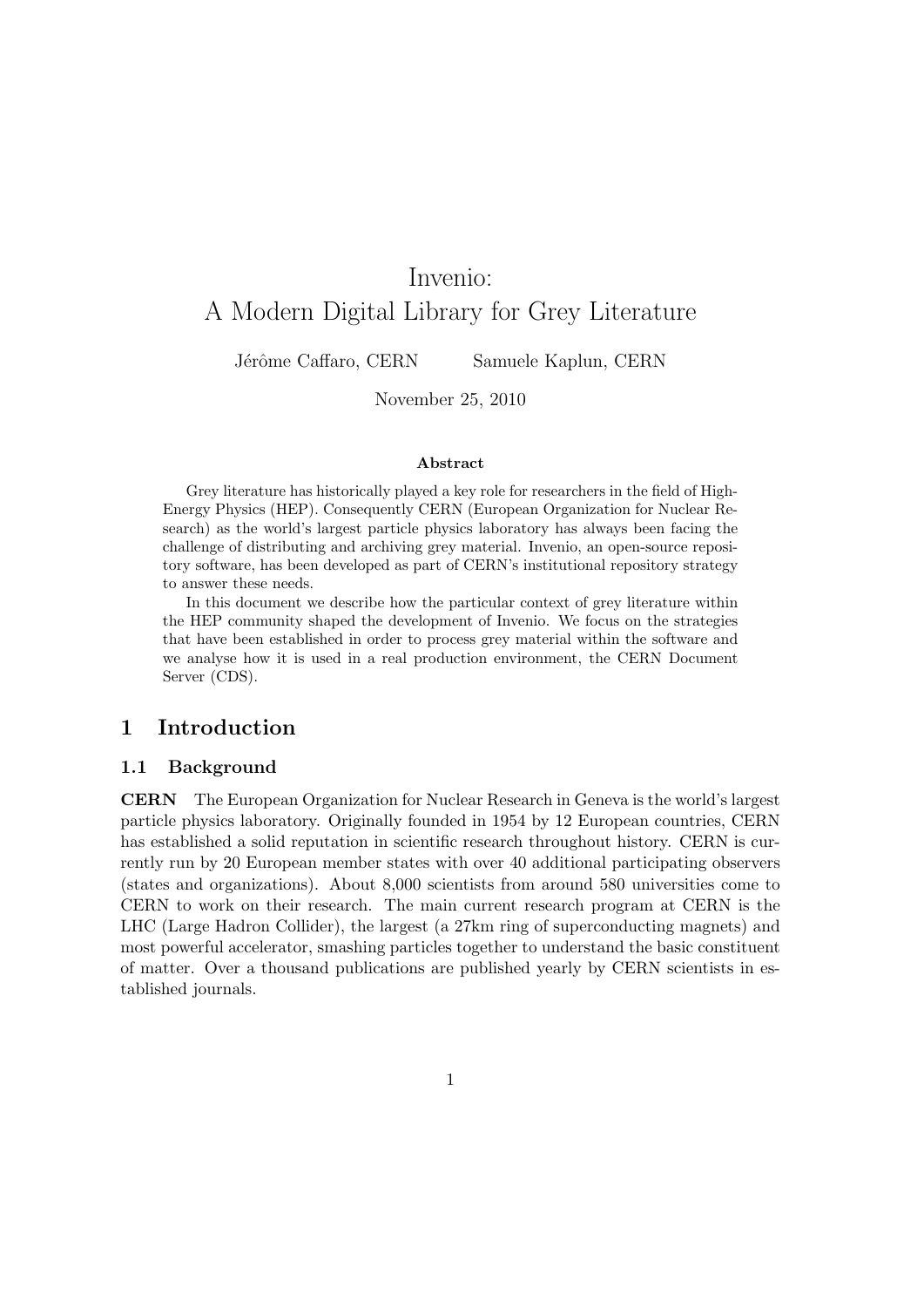# Invenio: A Modern Digital Library for Grey Literature

Jérôme Caffaro, CERN Samuele Kaplun, CERN

November 25, 2010

#### **Abstract**

Grey literature has historically played a key role for researchers in the field of High-Energy Physics (HEP). Consequently CERN (European Organization for Nuclear Research) as the world's largest particle physics laboratory has always been facing the challenge of distributing and archiving grey material. Invenio, an open-source repository software, has been developed as part of CERN's institutional repository strategy to answer these needs.

In this document we describe how the particular context of grey literature within the HEP community shaped the development of Invenio. We focus on the strategies that have been established in order to process grey material within the software and we analyse how it is used in a real production environment, the CERN Document Server (CDS).

## **1 Introduction**

### **1.1 Background**

**CERN** The European Organization for Nuclear Research in Geneva is the world's largest particle physics laboratory. Originally founded in 1954 by 12 European countries, CERN has established a solid reputation in scientific research throughout history. CERN is currently run by 20 European member states with over 40 additional participating observers (states and organizations). About 8,000 scientists from around 580 universities come to CERN to work on their research. The main current research program at CERN is the LHC (Large Hadron Collider), the largest (a 27km ring of superconducting magnets) and most powerful accelerator, smashing particles together to understand the basic constituent of matter. Over a thousand publications are published yearly by CERN scientists in established journals.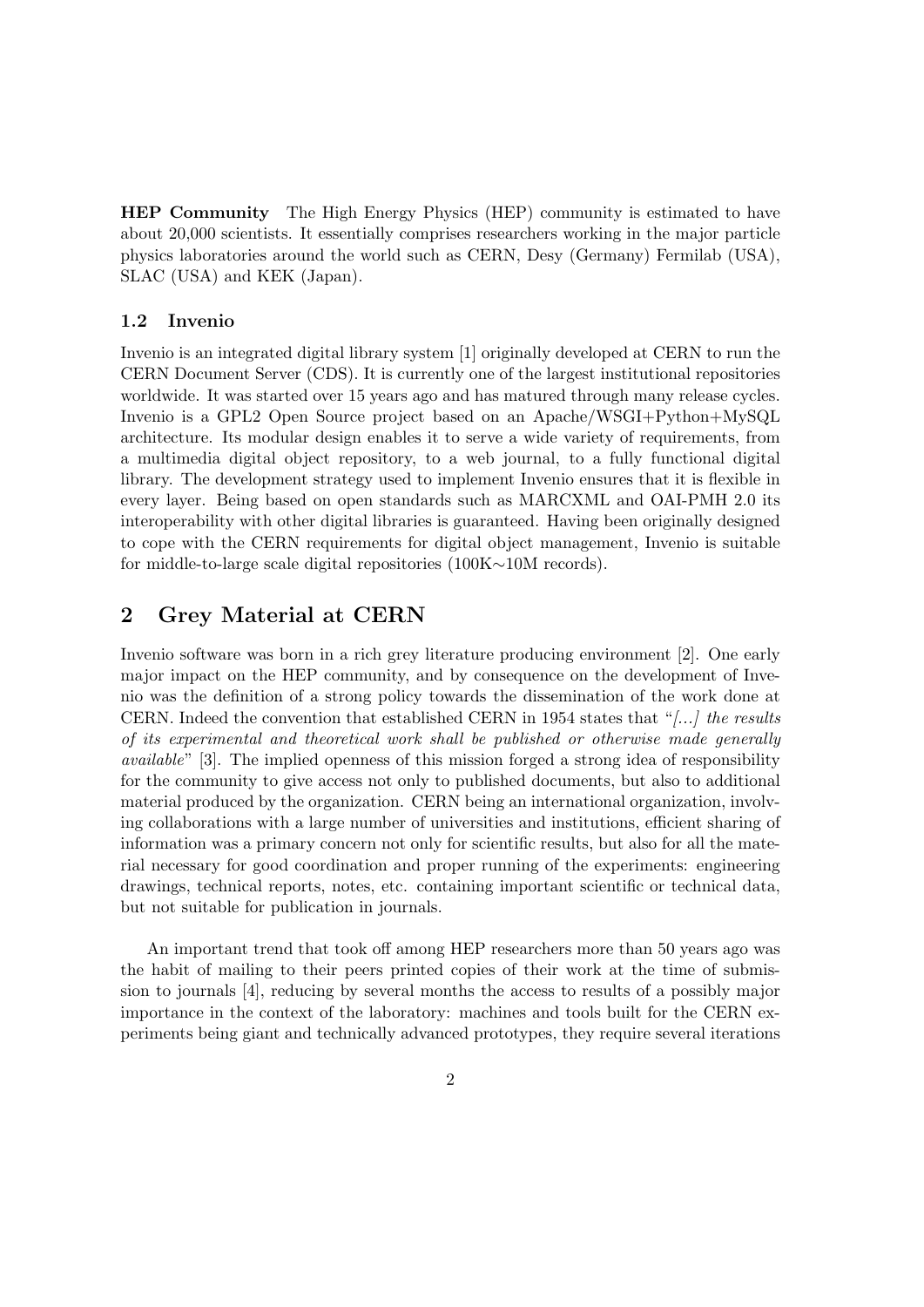**HEP Community** The High Energy Physics (HEP) community is estimated to have about 20,000 scientists. It essentially comprises researchers working in the major particle physics laboratories around the world such as CERN, Desy (Germany) Fermilab (USA), SLAC (USA) and KEK (Japan).

### **1.2 Invenio**

Invenio is an integrated digital library system [1] originally developed at CERN to run the CERN Document Server (CDS). It is currently one of the largest institutional repositories worldwide. It was started over 15 years ago and has matured through many release cycles. Invenio is a GPL2 Open Source project based on an Apache/WSGI+Python+MySQL architecture. Its modular design enables it to serve a wide variety of requirements, from a multimedia digital object repository, to a web journal, to a fully functional digital library. The development strategy used to implement Invenio ensures that it is flexible in every layer. Being based on open standards such as MARCXML and OAI-PMH 2.0 its interoperability with other digital libraries is guaranteed. Having been originally designed to cope with the CERN requirements for digital object management, Invenio is suitable for middle-to-large scale digital repositories (100K*∼*10M records).

## **2 Grey Material at CERN**

Invenio software was born in a rich grey literature producing environment [2]. One early major impact on the HEP community, and by consequence on the development of Invenio was the definition of a strong policy towards the dissemination of the work done at CERN. Indeed the convention that established CERN in 1954 states that "*[...] the results of its experimental and theoretical work shall be published or otherwise made generally available*" [3]. The implied openness of this mission forged a strong idea of responsibility for the community to give access not only to published documents, but also to additional material produced by the organization. CERN being an international organization, involving collaborations with a large number of universities and institutions, efficient sharing of information was a primary concern not only for scientific results, but also for all the material necessary for good coordination and proper running of the experiments: engineering drawings, technical reports, notes, etc. containing important scientific or technical data, but not suitable for publication in journals.

An important trend that took off among HEP researchers more than 50 years ago was the habit of mailing to their peers printed copies of their work at the time of submission to journals [4], reducing by several months the access to results of a possibly major importance in the context of the laboratory: machines and tools built for the CERN experiments being giant and technically advanced prototypes, they require several iterations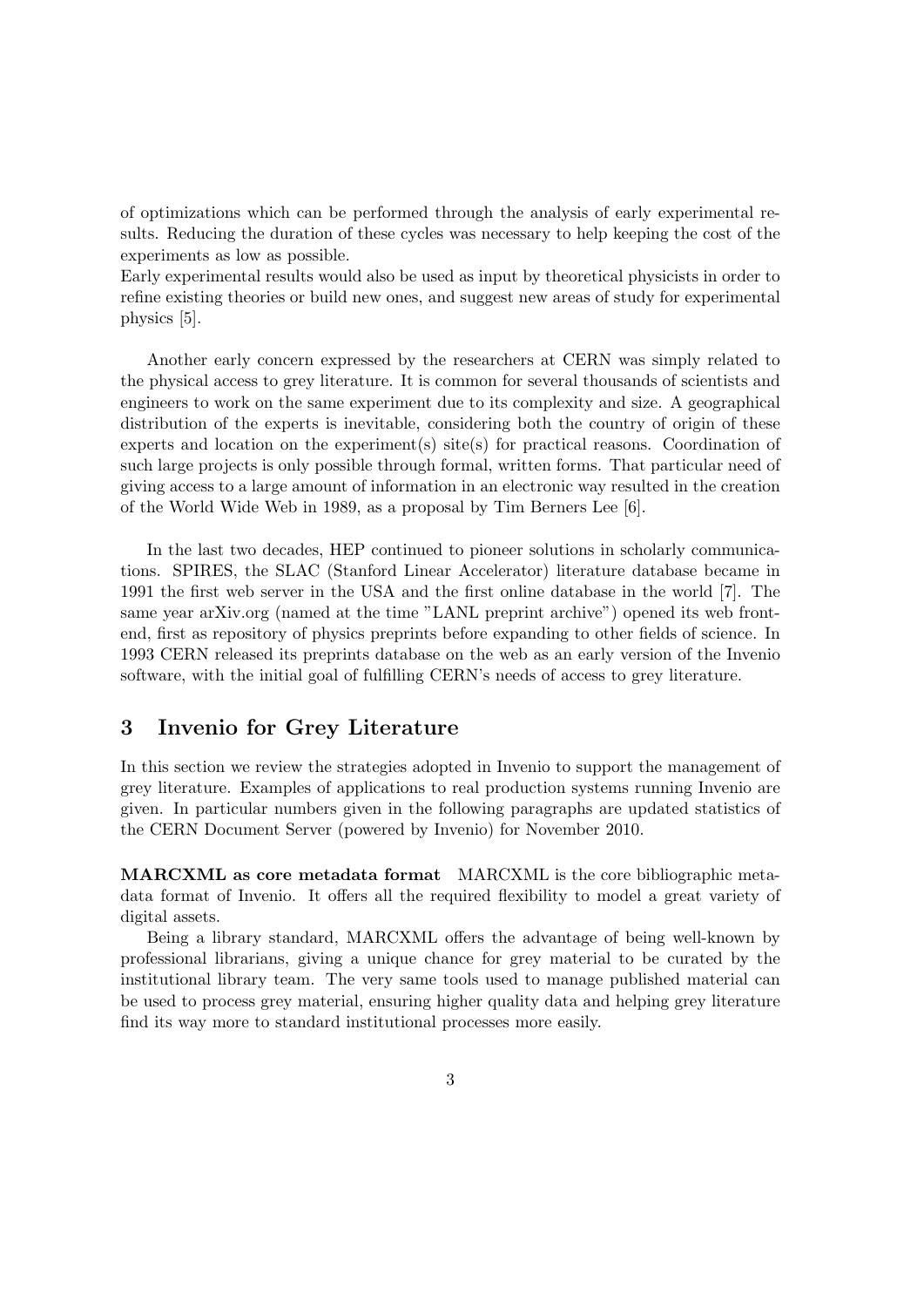of optimizations which can be performed through the analysis of early experimental results. Reducing the duration of these cycles was necessary to help keeping the cost of the experiments as low as possible.

Early experimental results would also be used as input by theoretical physicists in order to refine existing theories or build new ones, and suggest new areas of study for experimental physics [5].

Another early concern expressed by the researchers at CERN was simply related to the physical access to grey literature. It is common for several thousands of scientists and engineers to work on the same experiment due to its complexity and size. A geographical distribution of the experts is inevitable, considering both the country of origin of these experts and location on the experiment(s) site(s) for practical reasons. Coordination of such large projects is only possible through formal, written forms. That particular need of giving access to a large amount of information in an electronic way resulted in the creation of the World Wide Web in 1989, as a proposal by Tim Berners Lee [6].

In the last two decades, HEP continued to pioneer solutions in scholarly communications. SPIRES, the SLAC (Stanford Linear Accelerator) literature database became in 1991 the first web server in the USA and the first online database in the world [7]. The same year arXiv.org (named at the time "LANL preprint archive") opened its web frontend, first as repository of physics preprints before expanding to other fields of science. In 1993 CERN released its preprints database on the web as an early version of the Invenio software, with the initial goal of fulfilling CERN's needs of access to grey literature.

## **3 Invenio for Grey Literature**

In this section we review the strategies adopted in Invenio to support the management of grey literature. Examples of applications to real production systems running Invenio are given. In particular numbers given in the following paragraphs are updated statistics of the CERN Document Server (powered by Invenio) for November 2010.

**MARCXML as core metadata format** MARCXML is the core bibliographic metadata format of Invenio. It offers all the required flexibility to model a great variety of digital assets.

Being a library standard, MARCXML offers the advantage of being well-known by professional librarians, giving a unique chance for grey material to be curated by the institutional library team. The very same tools used to manage published material can be used to process grey material, ensuring higher quality data and helping grey literature find its way more to standard institutional processes more easily.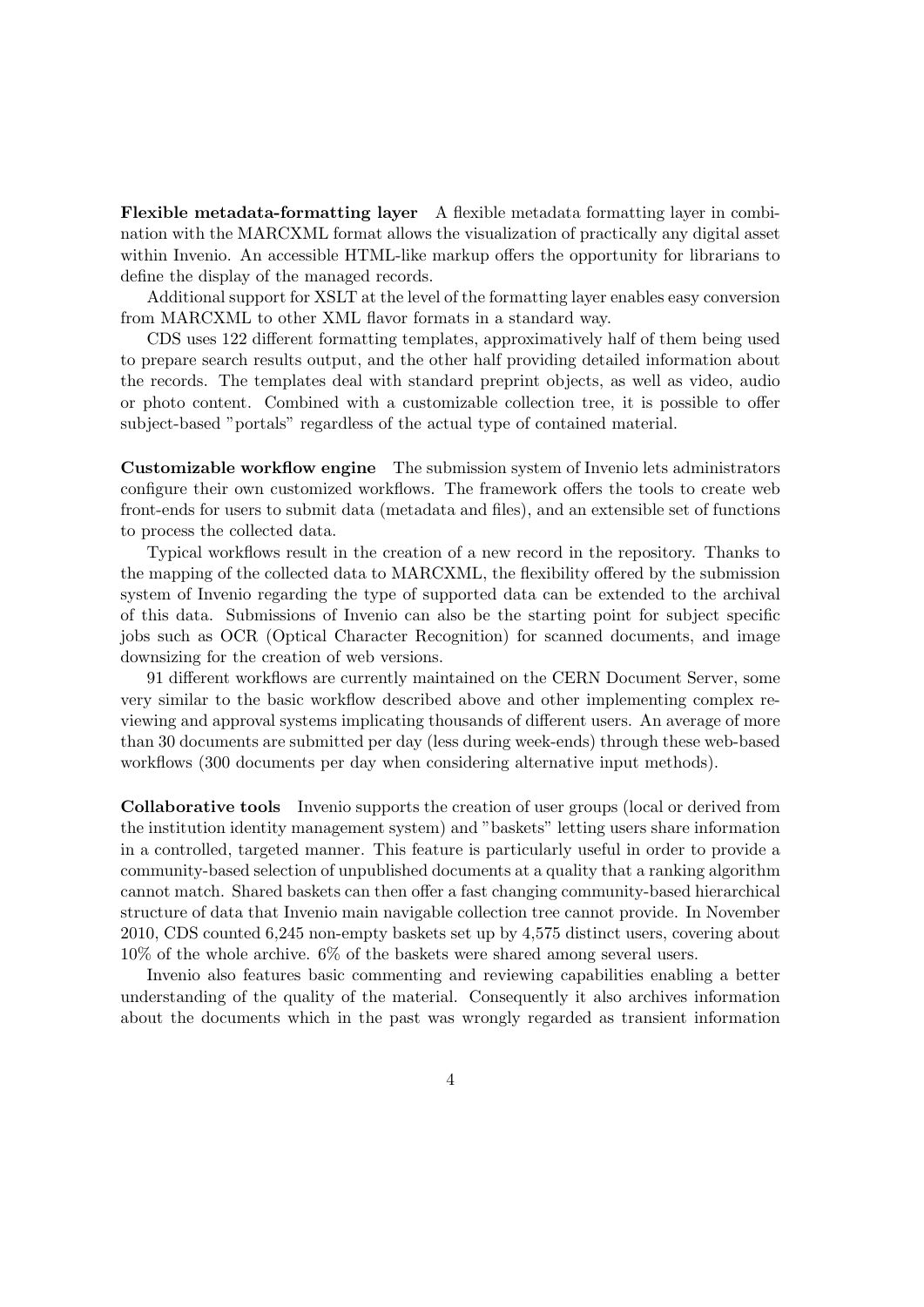**Flexible metadata-formatting layer** A flexible metadata formatting layer in combination with the MARCXML format allows the visualization of practically any digital asset within Invenio. An accessible HTML-like markup offers the opportunity for librarians to define the display of the managed records.

Additional support for XSLT at the level of the formatting layer enables easy conversion from MARCXML to other XML flavor formats in a standard way.

CDS uses 122 different formatting templates, approximatively half of them being used to prepare search results output, and the other half providing detailed information about the records. The templates deal with standard preprint objects, as well as video, audio or photo content. Combined with a customizable collection tree, it is possible to offer subject-based "portals" regardless of the actual type of contained material.

**Customizable workflow engine** The submission system of Invenio lets administrators configure their own customized workflows. The framework offers the tools to create web front-ends for users to submit data (metadata and files), and an extensible set of functions to process the collected data.

Typical workflows result in the creation of a new record in the repository. Thanks to the mapping of the collected data to MARCXML, the flexibility offered by the submission system of Invenio regarding the type of supported data can be extended to the archival of this data. Submissions of Invenio can also be the starting point for subject specific jobs such as OCR (Optical Character Recognition) for scanned documents, and image downsizing for the creation of web versions.

91 different workflows are currently maintained on the CERN Document Server, some very similar to the basic workflow described above and other implementing complex reviewing and approval systems implicating thousands of different users. An average of more than 30 documents are submitted per day (less during week-ends) through these web-based workflows (300 documents per day when considering alternative input methods).

**Collaborative tools** Invenio supports the creation of user groups (local or derived from the institution identity management system) and "baskets" letting users share information in a controlled, targeted manner. This feature is particularly useful in order to provide a community-based selection of unpublished documents at a quality that a ranking algorithm cannot match. Shared baskets can then offer a fast changing community-based hierarchical structure of data that Invenio main navigable collection tree cannot provide. In November 2010, CDS counted 6,245 non-empty baskets set up by 4,575 distinct users, covering about 10% of the whole archive. 6% of the baskets were shared among several users.

Invenio also features basic commenting and reviewing capabilities enabling a better understanding of the quality of the material. Consequently it also archives information about the documents which in the past was wrongly regarded as transient information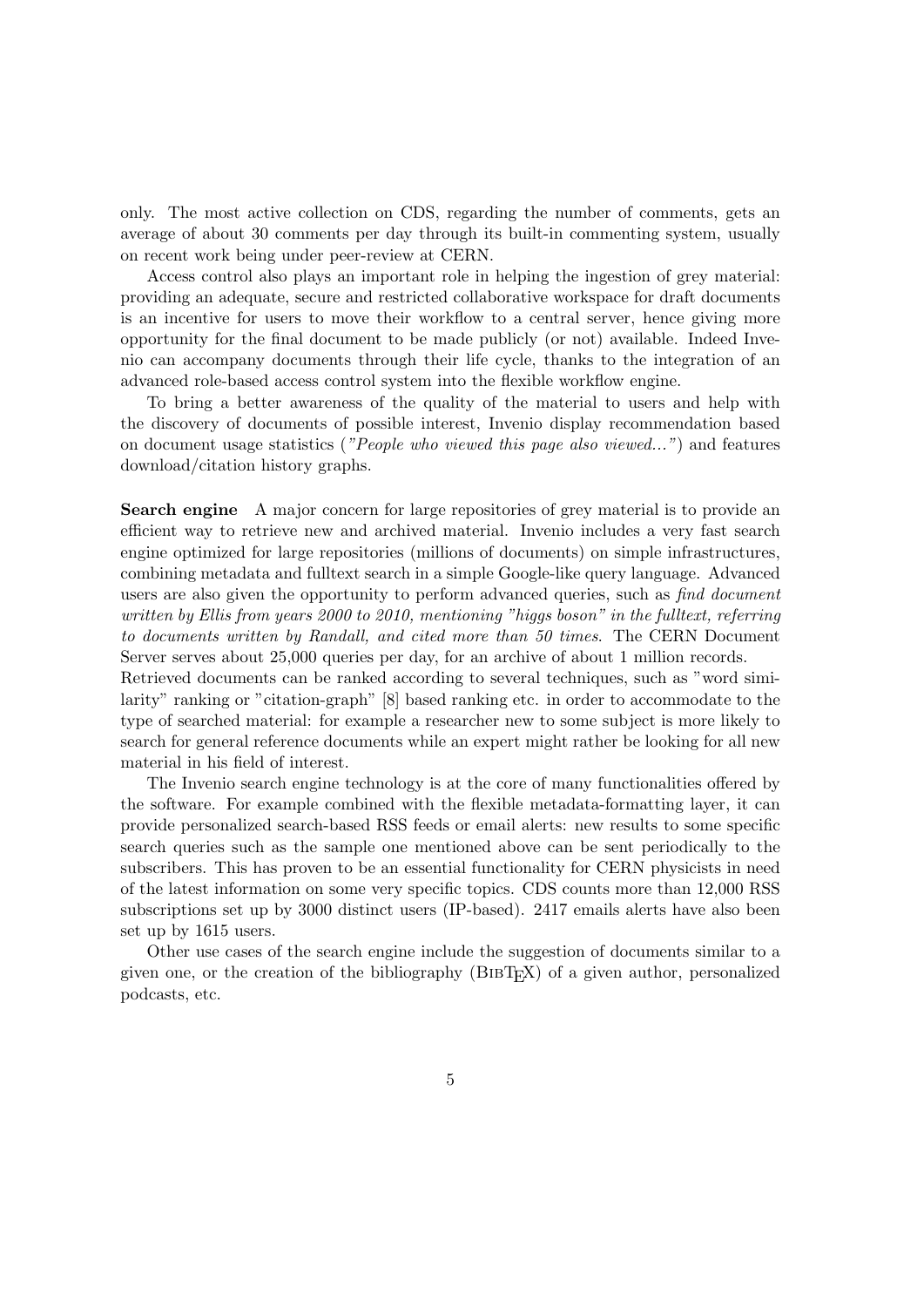only. The most active collection on CDS, regarding the number of comments, gets an average of about 30 comments per day through its built-in commenting system, usually on recent work being under peer-review at CERN.

Access control also plays an important role in helping the ingestion of grey material: providing an adequate, secure and restricted collaborative workspace for draft documents is an incentive for users to move their workflow to a central server, hence giving more opportunity for the final document to be made publicly (or not) available. Indeed Invenio can accompany documents through their life cycle, thanks to the integration of an advanced role-based access control system into the flexible workflow engine.

To bring a better awareness of the quality of the material to users and help with the discovery of documents of possible interest, Invenio display recommendation based on document usage statistics (*"People who viewed this page also viewed..."*) and features download/citation history graphs.

**Search engine** A major concern for large repositories of grey material is to provide an efficient way to retrieve new and archived material. Invenio includes a very fast search engine optimized for large repositories (millions of documents) on simple infrastructures, combining metadata and fulltext search in a simple Google-like query language. Advanced users are also given the opportunity to perform advanced queries, such as *find document written by Ellis from years 2000 to 2010, mentioning "higgs boson" in the fulltext, referring to documents written by Randall, and cited more than 50 times*. The CERN Document Server serves about 25,000 queries per day, for an archive of about 1 million records.

Retrieved documents can be ranked according to several techniques, such as "word similarity" ranking or "citation-graph" [8] based ranking etc. in order to accommodate to the type of searched material: for example a researcher new to some subject is more likely to search for general reference documents while an expert might rather be looking for all new material in his field of interest.

The Invenio search engine technology is at the core of many functionalities offered by the software. For example combined with the flexible metadata-formatting layer, it can provide personalized search-based RSS feeds or email alerts: new results to some specific search queries such as the sample one mentioned above can be sent periodically to the subscribers. This has proven to be an essential functionality for CERN physicists in need of the latest information on some very specific topics. CDS counts more than 12,000 RSS subscriptions set up by 3000 distinct users (IP-based). 2417 emails alerts have also been set up by 1615 users.

Other use cases of the search engine include the suggestion of documents similar to a given one, or the creation of the bibliography (BibTEX) of a given author, personalized podcasts, etc.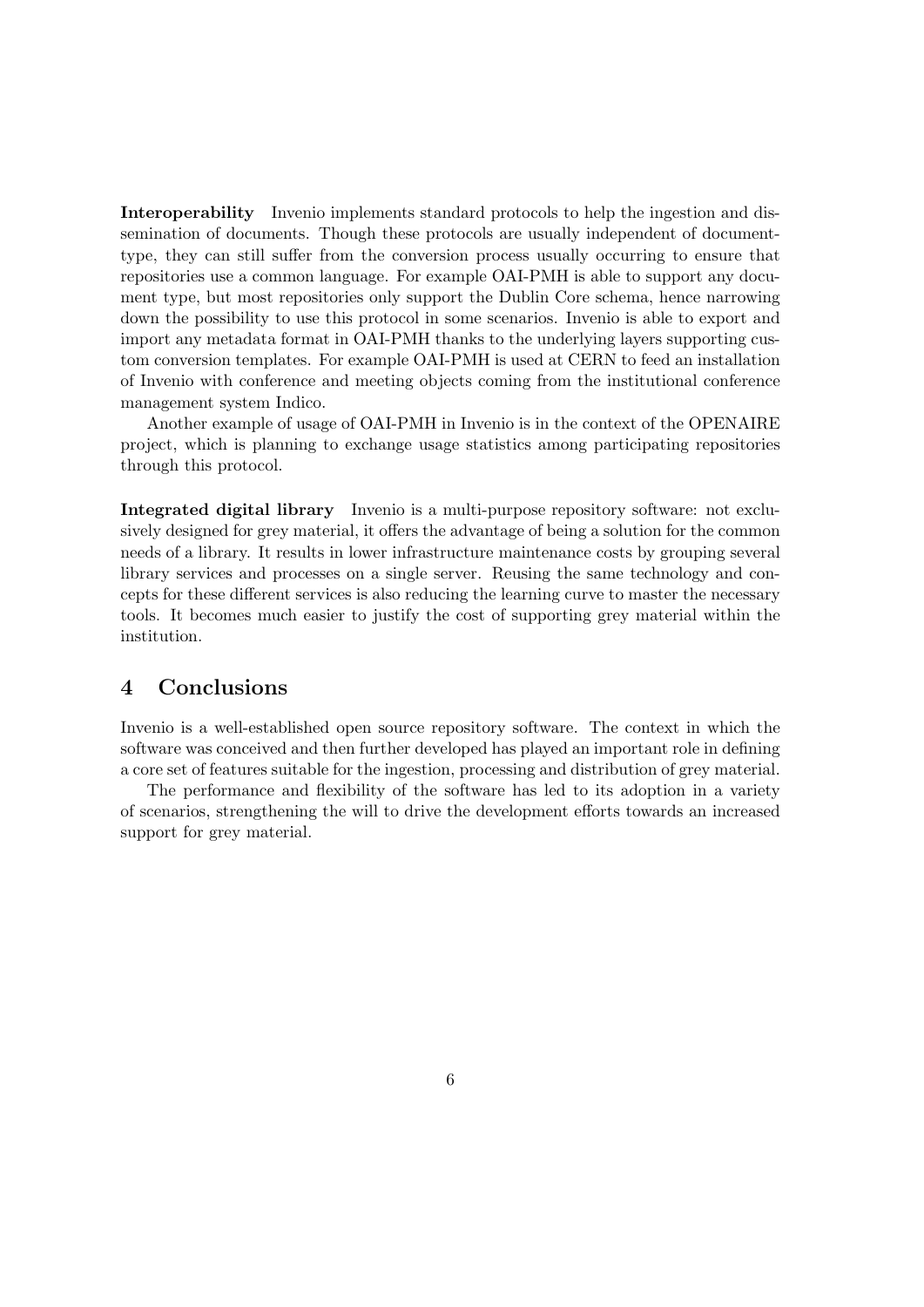**Interoperability** Invenio implements standard protocols to help the ingestion and dissemination of documents. Though these protocols are usually independent of documenttype, they can still suffer from the conversion process usually occurring to ensure that repositories use a common language. For example OAI-PMH is able to support any document type, but most repositories only support the Dublin Core schema, hence narrowing down the possibility to use this protocol in some scenarios. Invenio is able to export and import any metadata format in OAI-PMH thanks to the underlying layers supporting custom conversion templates. For example OAI-PMH is used at CERN to feed an installation of Invenio with conference and meeting objects coming from the institutional conference management system Indico.

Another example of usage of OAI-PMH in Invenio is in the context of the OPENAIRE project, which is planning to exchange usage statistics among participating repositories through this protocol.

**Integrated digital library** Invenio is a multi-purpose repository software: not exclusively designed for grey material, it offers the advantage of being a solution for the common needs of a library. It results in lower infrastructure maintenance costs by grouping several library services and processes on a single server. Reusing the same technology and concepts for these different services is also reducing the learning curve to master the necessary tools. It becomes much easier to justify the cost of supporting grey material within the institution.

## **4 Conclusions**

Invenio is a well-established open source repository software. The context in which the software was conceived and then further developed has played an important role in defining a core set of features suitable for the ingestion, processing and distribution of grey material.

The performance and flexibility of the software has led to its adoption in a variety of scenarios, strengthening the will to drive the development efforts towards an increased support for grey material.